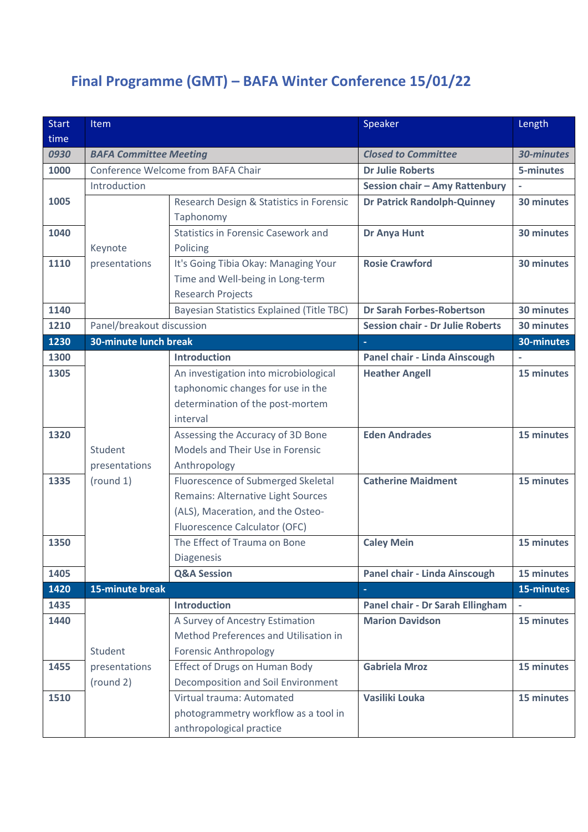## **Final Programme (GMT) – BAFA Winter Conference 15/01/22**

| <b>Start</b> | Item                               |                                            | Speaker                                 | Length     |
|--------------|------------------------------------|--------------------------------------------|-----------------------------------------|------------|
| time         |                                    |                                            |                                         |            |
| 0930         | <b>BAFA Committee Meeting</b>      |                                            | <b>Closed to Committee</b>              | 30-minutes |
| 1000         | Conference Welcome from BAFA Chair |                                            | <b>Dr Julie Roberts</b>                 | 5-minutes  |
|              | Introduction                       |                                            | Session chair - Amy Rattenbury          |            |
| 1005         |                                    | Research Design & Statistics in Forensic   | <b>Dr Patrick Randolph-Quinney</b>      | 30 minutes |
|              |                                    | Taphonomy                                  |                                         |            |
| 1040         |                                    | <b>Statistics in Forensic Casework and</b> | Dr Anya Hunt                            | 30 minutes |
|              | Keynote                            | Policing                                   |                                         |            |
| 1110         | presentations                      | It's Going Tibia Okay: Managing Your       | <b>Rosie Crawford</b>                   | 30 minutes |
|              |                                    | Time and Well-being in Long-term           |                                         |            |
|              |                                    | <b>Research Projects</b>                   |                                         |            |
| 1140         |                                    | Bayesian Statistics Explained (Title TBC)  | <b>Dr Sarah Forbes-Robertson</b>        | 30 minutes |
| 1210         | Panel/breakout discussion          |                                            | <b>Session chair - Dr Julie Roberts</b> | 30 minutes |
| 1230         | <b>30-minute lunch break</b>       |                                            | ◆                                       | 30-minutes |
| 1300         |                                    | <b>Introduction</b>                        | Panel chair - Linda Ainscough           |            |
| 1305         |                                    | An investigation into microbiological      | <b>Heather Angell</b>                   | 15 minutes |
|              |                                    | taphonomic changes for use in the          |                                         |            |
|              |                                    | determination of the post-mortem           |                                         |            |
|              |                                    | interval                                   |                                         |            |
| 1320         |                                    | Assessing the Accuracy of 3D Bone          | <b>Eden Andrades</b>                    | 15 minutes |
|              | Student                            | Models and Their Use in Forensic           |                                         |            |
|              | presentations                      | Anthropology                               |                                         |            |
| 1335         | (round 1)                          | Fluorescence of Submerged Skeletal         | <b>Catherine Maidment</b>               | 15 minutes |
|              |                                    | Remains: Alternative Light Sources         |                                         |            |
|              |                                    | (ALS), Maceration, and the Osteo-          |                                         |            |
|              |                                    | Fluorescence Calculator (OFC)              |                                         |            |
| 1350         |                                    | The Effect of Trauma on Bone               | <b>Caley Mein</b>                       | 15 minutes |
|              |                                    | Diagenesis                                 |                                         |            |
| 1405         |                                    | <b>Q&amp;A Session</b>                     | Panel chair - Linda Ainscough           | 15 minutes |
| 1420         | 15-minute break                    |                                            |                                         | 15-minutes |
| 1435         |                                    | <b>Introduction</b>                        | Panel chair - Dr Sarah Ellingham        |            |
| 1440         |                                    | A Survey of Ancestry Estimation            | <b>Marion Davidson</b>                  | 15 minutes |
|              |                                    | Method Preferences and Utilisation in      |                                         |            |
|              | Student                            | <b>Forensic Anthropology</b>               |                                         |            |
| 1455         | presentations                      | <b>Effect of Drugs on Human Body</b>       | <b>Gabriela Mroz</b>                    | 15 minutes |
|              | (round 2)                          | Decomposition and Soil Environment         |                                         |            |
| 1510         |                                    | Virtual trauma: Automated                  | Vasiliki Louka                          | 15 minutes |
|              |                                    | photogrammetry workflow as a tool in       |                                         |            |
|              |                                    | anthropological practice                   |                                         |            |